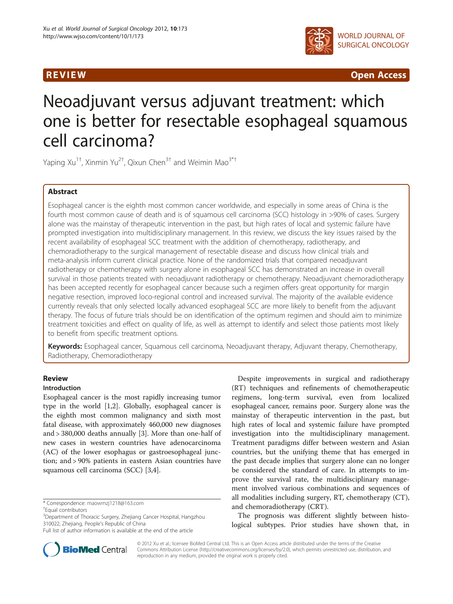

**REVIEW CONSIDERING CONSIDERING CONSIDERING CONSIDERING CONSIDERING CONSIDERING CONSIDERING CONSIDERING CONSIDERING CONSIDERING CONSIDERING CONSIDERING CONSIDERING CONSIDERING CONSIDERING CONSIDERING CONSIDERING CONSIDER** 

# Neoadjuvant versus adjuvant treatment: which one is better for resectable esophageal squamous cell carcinoma?

Yaping Xu<sup>1†</sup>, Xinmin Yu<sup>2†</sup>, Qixun Chen<sup>3†</sup> and Weimin Mao<sup>3\*†</sup>

# Abstract

Esophageal cancer is the eighth most common cancer worldwide, and especially in some areas of China is the fourth most common cause of death and is of squamous cell carcinoma (SCC) histology in >90% of cases. Surgery alone was the mainstay of therapeutic intervention in the past, but high rates of local and systemic failure have prompted investigation into multidisciplinary management. In this review, we discuss the key issues raised by the recent availability of esophageal SCC treatment with the addition of chemotherapy, radiotherapy, and chemoradiotherapy to the surgical management of resectable disease and discuss how clinical trials and meta-analysis inform current clinical practice. None of the randomized trials that compared neoadjuvant radiotherapy or chemotherapy with surgery alone in esophageal SCC has demonstrated an increase in overall survival in those patients treated with neoadjuvant radiotherapy or chemotherapy. Neoadjuvant chemoradiotherapy has been accepted recently for esophageal cancer because such a regimen offers great opportunity for margin negative resection, improved loco-regional control and increased survival. The majority of the available evidence currently reveals that only selected locally advanced esophageal SCC are more likely to benefit from the adjuvant therapy. The focus of future trials should be on identification of the optimum regimen and should aim to minimize treatment toxicities and effect on quality of life, as well as attempt to identify and select those patients most likely to benefit from specific treatment options.

Keywords: Esophageal cancer, Squamous cell carcinoma, Neoadjuvant therapy, Adjuvant therapy, Chemotherapy, Radiotherapy, Chemoradiotherapy

# Review

# Introduction

Esophageal cancer is the most rapidly increasing tumor type in the world [[1](#page-6-0),[2\]](#page-6-0). Globally, esophageal cancer is the eighth most common malignancy and sixth most fatal disease, with approximately 460,000 new diagnoses and > 380,000 deaths annually [\[3](#page-6-0)]. More than one-half of new cases in western countries have adenocarcinoma (AC) of the lower esophagus or gastroesophageal junction; and > 90% patients in eastern Asian countries have squamous cell carcinoma (SCC) [[3,4\]](#page-6-0).

<sup>3</sup>Department of Thoracic Surgery, Zhejiang Cancer Hospital, Hangzhou 310022, Zhejiang, People's Republic of China

Despite improvements in surgical and radiotherapy (RT) techniques and refinements of chemotherapeutic regimens, long-term survival, even from localized esophageal cancer, remains poor. Surgery alone was the mainstay of therapeutic intervention in the past, but high rates of local and systemic failure have prompted investigation into the multidisciplinary management. Treatment paradigms differ between western and Asian countries, but the unifying theme that has emerged in the past decade implies that surgery alone can no longer be considered the standard of care. In attempts to improve the survival rate, the multidisciplinary management involved various combinations and sequences of all modalities including surgery, RT, chemotherapy (CT), and chemoradiotherapy (CRT).

The prognosis was different slightly between histological subtypes. Prior studies have shown that, in



© 2012 Xu et al.; licensee BioMed Central Ltd. This is an Open Access article distributed under the terms of the Creative Commons Attribution License [\(http://creativecommons.org/licenses/by/2.0\)](http://creativecommons.org/licenses/by/2.0), which permits unrestricted use, distribution, and reproduction in any medium, provided the original work is properly cited.

<sup>\*</sup> Correspondence: [maowmzj1218@163.com](mailto:maowmzj1218@163.com) †

Equal contributors

Full list of author information is available at the end of the article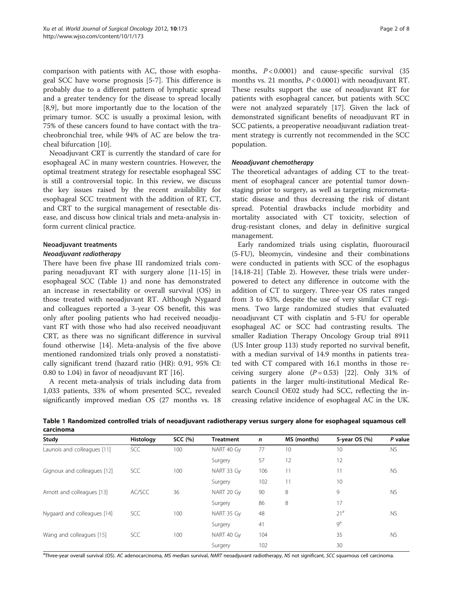comparison with patients with AC, those with esophageal SCC have worse prognosis [\[5](#page-6-0)-[7\]](#page-6-0). This difference is probably due to a different pattern of lymphatic spread and a greater tendency for the disease to spread locally [[8,9\]](#page-6-0), but more importantly due to the location of the primary tumor. SCC is usually a proximal lesion, with 75% of these cancers found to have contact with the tracheobronchial tree, while 94% of AC are below the tracheal bifurcation [\[10](#page-6-0)].

Neoadjuvant CRT is currently the standard of care for esophageal AC in many western countries. However, the optimal treatment strategy for resectable esophageal SSC is still a controversial topic. In this review, we discuss the key issues raised by the recent availability for esophageal SCC treatment with the addition of RT, CT, and CRT to the surgical management of resectable disease, and discuss how clinical trials and meta-analysis inform current clinical practice.

# Neoadjuvant treatments

#### Neoadjuvant radiotherapy

There have been five phase III randomized trials comparing neoadjuvant RT with surgery alone [[11-15\]](#page-6-0) in esophageal SCC (Table 1) and none has demonstrated an increase in resectability or overall survival (OS) in those treated with neoadjuvant RT. Although Nygaard and colleagues reported a 3-year OS benefit, this was only after pooling patients who had received neoadjuvant RT with those who had also received neoadjuvant CRT, as there was no significant difference in survival found otherwise [[14\]](#page-6-0). Meta-analysis of the five above mentioned randomized trials only proved a nonstatistically significant trend (hazard ratio (HR): 0.91, 95% CI: 0.80 to 1.04) in favor of neoadjuvant RT [\[16\]](#page-6-0).

A recent meta-analysis of trials including data from 1,033 patients, 33% of whom presented SCC, revealed significantly improved median OS (27 months vs. 18

months,  $P < 0.0001$ ) and cause-specific survival (35 months vs. 21 months,  $P < 0.0001$ ) with neoadjuvant RT. These results support the use of neoadjuvant RT for patients with esophageal cancer, but patients with SCC were not analyzed separately [\[17](#page-6-0)]. Given the lack of demonstrated significant benefits of neoadjuvant RT in SCC patients, a preoperative neoadjuvant radiation treatment strategy is currently not recommended in the SCC population.

#### Neoadjuvant chemotherapy

The theoretical advantages of adding CT to the treatment of esophageal cancer are potential tumor downstaging prior to surgery, as well as targeting micrometastatic disease and thus decreasing the risk of distant spread. Potential drawbacks include morbidity and mortality associated with CT toxicity, selection of drug-resistant clones, and delay in definitive surgical management.

Early randomized trials using cisplatin, fluorouracil (5-FU), bleomycin, vindesine and their combinations were conducted in patients with SCC of the esophagus [[14,18-21\]](#page-6-0) (Table [2](#page-2-0)). However, these trials were underpowered to detect any difference in outcome with the addition of CT to surgery. Three-year OS rates ranged from 3 to 43%, despite the use of very similar CT regimens. Two large randomized studies that evaluated neoadjuvant CT with cisplatin and 5-FU for operable esophageal AC or SCC had contrasting results. The smaller Radiation Therapy Oncology Group trial 8911 (US Inter group 113) study reported no survival benefit, with a median survival of 14.9 months in patients treated with CT compared with 16.1 months in those receiving surgery alone  $(P = 0.53)$  [\[22\]](#page-6-0). Only 31% of patients in the larger multi-institutional Medical Research Council OE02 study had SCC, reflecting the increasing relative incidence of esophageal AC in the UK.

Table 1 Randomized controlled trials of neoadjuvant radiotherapy versus surgery alone for esophageal squamous cell carcinoma

| Study                       | Histology  | $SCC$ $(%)$ | <b>Treatment</b> | n   | MS (months) | 5-year OS (%)   | P value   |
|-----------------------------|------------|-------------|------------------|-----|-------------|-----------------|-----------|
| Launois and colleagues [11] | <b>SCC</b> | 100         | NART 40 Gy       | 77  | 10          | 10              | NS.       |
|                             |            |             | Surgery          | 57  | 12          | 12              |           |
| Gignoux and colleagues [12] | <b>SCC</b> | 100         | NART 33 Gy       | 106 | 11          | 11              | <b>NS</b> |
|                             |            |             | Surgery          | 102 | 11          | 10              |           |
| Arnott and colleagues [13]  | AC/SCC     | 36          | NART 20 Gy       | 90  | 8           | 9               | NS.       |
|                             |            |             | Surgery          | 86  | 8           | 17              |           |
| Nygaard and colleagues [14] | <b>SCC</b> | 100         | NART 35 Gy       | 48  |             | 21 <sup>a</sup> | <b>NS</b> |
|                             |            |             | Surgery          | 41  |             | $9^a$           |           |
| Wang and colleagues [15]    | <b>SCC</b> | 100         | NART 40 Gy       | 104 |             | 35              | NS.       |
|                             |            |             | Surgery          | 102 |             | 30              |           |

a Three-year overall survival (OS). AC adenocarcinoma, MS median survival, NART neoadjuvant radiotherapy, NS not significant, SCC squamous cell carcinoma.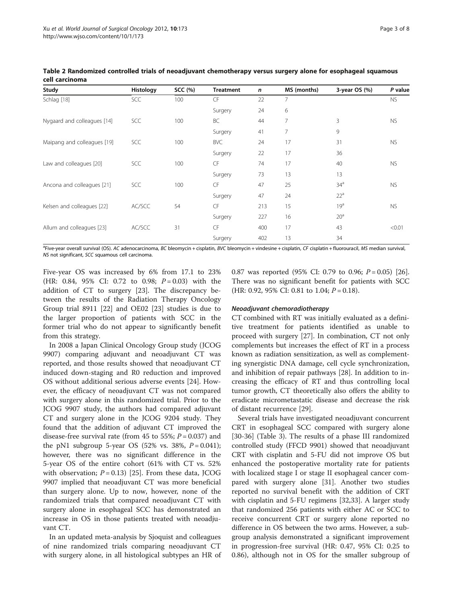| Study                       | Histology  | <b>SCC (%)</b> | <b>Treatment</b> | n   | MS (months) | $3$ -year OS $(\%)$ | P value   |
|-----------------------------|------------|----------------|------------------|-----|-------------|---------------------|-----------|
| Schlag [18]                 | <b>SCC</b> | 100            | CF               | 22  | 7           |                     | <b>NS</b> |
|                             |            |                | Surgery          | 24  | 6           |                     |           |
| Nygaard and colleagues [14] | <b>SCC</b> | 100            | BC               | 44  | 7           | 3                   | <b>NS</b> |
|                             |            |                | Surgery          | 41  | 7           | 9                   |           |
| Maipang and colleagues [19] | <b>SCC</b> | 100            | <b>BVC</b>       | 24  | 17          | 31                  | <b>NS</b> |
|                             |            |                | Surgery          | 22  | 17          | 36                  |           |
| Law and colleagues [20]     | <b>SCC</b> | 100            | CF               | 74  | 17          | 40                  | <b>NS</b> |
|                             |            |                | Surgery          | 73  | 13          | 13                  |           |
| Ancona and colleagues [21]  | <b>SCC</b> | 100            | CF               | 47  | 25          | 34 <sup>a</sup>     | <b>NS</b> |
|                             |            |                | Surgery          | 47  | 24          | 22 <sup>a</sup>     |           |
| Kelsen and colleagues [22]  | AC/SCC     | 54             | CF               | 213 | 15          | 19 <sup>a</sup>     | <b>NS</b> |
|                             |            |                | Surgery          | 227 | 16          | 20 <sup>a</sup>     |           |
| Allum and colleagues [23]   | AC/SCC     | 31             | CF               | 400 | 17          | 43                  | < 0.01    |
|                             |            |                | Surgery          | 402 | 13          | 34                  |           |

<span id="page-2-0"></span>Table 2 Randomized controlled trials of neoadjuvant chemotherapy versus surgery alone for esophageal squamous cell carcinoma

<sup>a</sup>Five-year overall survival (OS). AC adenocarcinoma, BC bleomycin + cisplatin, BVC bleomycin + vindesine + cisplatin, CF cisplatin + fluorouracil, MS median survival NS not significant, SCC squamous cell carcinoma.

Five-year OS was increased by 6% from 17.1 to 23% (HR: 0.84, 95% CI: 0.72 to 0.98;  $P = 0.03$ ) with the addition of CT to surgery [\[23](#page-7-0)]. The discrepancy between the results of the Radiation Therapy Oncology Group trial 8911 [\[22](#page-6-0)] and OE02 [[23](#page-7-0)] studies is due to the larger proportion of patients with SCC in the former trial who do not appear to significantly benefit from this strategy.

In 2008 a Japan Clinical Oncology Group study (JCOG 9907) comparing adjuvant and neoadjuvant CT was reported, and those results showed that neoadjuvant CT induced down-staging and R0 reduction and improved OS without additional serious adverse events [\[24\]](#page-7-0). However, the efficacy of neoadjuvant CT was not compared with surgery alone in this randomized trial. Prior to the JCOG 9907 study, the authors had compared adjuvant CT and surgery alone in the JCOG 9204 study. They found that the addition of adjuvant CT improved the disease-free survival rate (from 45 to 55%;  $P = 0.037$ ) and the pN1 subgroup 5-year OS (52% vs. 38%,  $P = 0.041$ ); however, there was no significant difference in the 5-year OS of the entire cohort (61% with CT vs. 52% with observation;  $P = 0.13$  [\[25\]](#page-7-0). From these data, JCOG 9907 implied that neoadjuvant CT was more beneficial than surgery alone. Up to now, however, none of the randomized trials that compared neoadjuvant CT with surgery alone in esophageal SCC has demonstrated an increase in OS in those patients treated with neoadjuvant CT.

In an updated meta-analysis by Sjoquist and colleagues of nine randomized trials comparing neoadjuvant CT with surgery alone, in all histological subtypes an HR of 0.87 was reported  $(95\% \text{ CI: } 0.79 \text{ to } 0.96; P = 0.05)$  [\[26](#page-7-0)]. There was no significant benefit for patients with SCC (HR: 0.92, 95% CI: 0.81 to 1.04;  $P = 0.18$ ).

# Neoadjuvant chemoradiotherapy

CT combined with RT was initially evaluated as a definitive treatment for patients identified as unable to proceed with surgery [[27\]](#page-7-0). In combination, CT not only complements but increases the effect of RT in a process known as radiation sensitization, as well as complementing synergistic DNA damage, cell cycle synchronization, and inhibition of repair pathways [\[28](#page-7-0)]. In addition to increasing the efficacy of RT and thus controlling local tumor growth, CT theoretically also offers the ability to eradicate micrometastatic disease and decrease the risk of distant recurrence [\[29](#page-7-0)].

Several trials have investigated neoadjuvant concurrent CRT in esophageal SCC compared with surgery alone [[30-36](#page-7-0)] (Table [3\)](#page-3-0). The results of a phase III randomized controlled study (FFCD 9901) showed that neoadjuvant CRT with cisplatin and 5-FU did not improve OS but enhanced the postoperative mortality rate for patients with localized stage I or stage II esophageal cancer compared with surgery alone [[31](#page-7-0)]. Another two studies reported no survival benefit with the addition of CRT with cisplatin and 5-FU regimens [\[32,33](#page-7-0)]. A larger study that randomized 256 patients with either AC or SCC to receive concurrent CRT or surgery alone reported no difference in OS between the two arms. However, a subgroup analysis demonstrated a significant improvement in progression-free survival (HR: 0.47, 95% CI: 0.25 to 0.86), although not in OS for the smaller subgroup of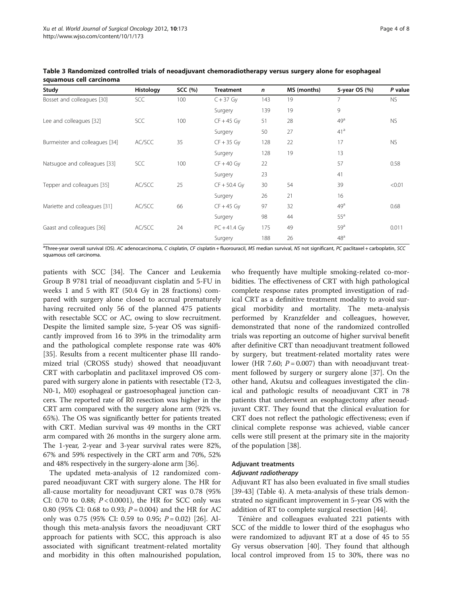| Study                          | Histology  | $SCC$ $(%)$ | <b>Treatment</b> | $\mathsf{n}$ | MS (months) | 5-year OS (%)   | P value   |
|--------------------------------|------------|-------------|------------------|--------------|-------------|-----------------|-----------|
| Bosset and colleagues [30]     | <b>SCC</b> | 100         | $C + 37$ Gy      | 143          | 19          | $\overline{7}$  | <b>NS</b> |
|                                |            |             | Surgery          | 139          | 19          | 9               |           |
| Lee and colleagues [32]        | <b>SCC</b> | 100         | $CF + 45 Gy$     | 51           | 28          | 49 <sup>a</sup> | <b>NS</b> |
|                                |            |             | Surgery          | 50           | 27          | 41 <sup>a</sup> |           |
| Burmeister and colleagues [34] | AC/SCC     | 35          | $CF + 35$ Gy     | 128          | 22          | 17              | <b>NS</b> |
|                                |            |             | Surgery          | 128          | 19          | 13              |           |
| Natsugoe and colleagues [33]   | <b>SCC</b> | 100         | $CF + 40$ Gy     | 22           |             | 57              | 0.58      |
|                                |            |             | Surgery          | 23           |             | 41              |           |
| Tepper and colleagues [35]     | AC/SCC     | 25          | $CF + 50.4$ Gy   | 30           | 54          | 39              | < 0.01    |
|                                |            |             | Surgery          | 26           | 21          | 16              |           |
| Mariette and colleagues [31]   | AC/SCC     | 66          | $CF + 45$ Gy     | 97           | 32          | 49 <sup>a</sup> | 0.68      |
|                                |            |             | Surgery          | 98           | 44          | $55^{\circ}$    |           |
| Gaast and colleagues [36]      | AC/SCC     | 24          | $PC + 41.4$ Gy   | 175          | 49          | 59 <sup>a</sup> | 0.011     |
|                                |            |             | Surgery          | 188          | 26          | 48 <sup>a</sup> |           |

<span id="page-3-0"></span>Table 3 Randomized controlled trials of neoadjuvant chemoradiotherapy versus surgery alone for esophageal squamous cell carcinoma

<sup>a</sup>Three-year overall survival (OS). AC adenocarcinoma, C cisplatin, CF cisplatin + fluorouracil, *MS* median survival, *NS* not significant, *PC paclitaxel + carboplatin, SCC* squamous cell carcinoma.

patients with SCC [[34](#page-7-0)]. The Cancer and Leukemia Group B 9781 trial of neoadjuvant cisplatin and 5-FU in weeks 1 and 5 with RT (50.4 Gy in 28 fractions) compared with surgery alone closed to accrual prematurely having recruited only 56 of the planned 475 patients with resectable SCC or AC, owing to slow recruitment. Despite the limited sample size, 5-year OS was significantly improved from 16 to 39% in the trimodality arm and the pathological complete response rate was 40% [[35\]](#page-7-0). Results from a recent multicenter phase III randomized trial (CROSS study) showed that neoadjuvant CRT with carboplatin and paclitaxel improved OS compared with surgery alone in patients with resectable (T2-3, N0-1, M0) esophageal or gastroesophageal junction cancers. The reported rate of R0 resection was higher in the CRT arm compared with the surgery alone arm (92% vs. 65%). The OS was significantly better for patients treated with CRT. Median survival was 49 months in the CRT arm compared with 26 months in the surgery alone arm. The 1-year, 2-year and 3-year survival rates were 82%, 67% and 59% respectively in the CRT arm and 70%, 52% and 48% respectively in the surgery-alone arm [[36](#page-7-0)].

The updated meta-analysis of 12 randomized compared neoadjuvant CRT with surgery alone. The HR for all-cause mortality for neoadjuvant CRT was 0.78 (95% CI: 0.70 to 0.88;  $P < 0.0001$ ), the HR for SCC only was 0.80 (95% CI: 0.68 to 0.93;  $P = 0.004$ ) and the HR for AC only was 0.75 (95% CI: 0.59 to 0.95;  $P = 0.02$ ) [\[26\]](#page-7-0). Although this meta-analysis favors the neoadjuvant CRT approach for patients with SCC, this approach is also associated with significant treatment-related mortality and morbidity in this often malnourished population,

who frequently have multiple smoking-related co-morbidities. The effectiveness of CRT with high pathological complete response rates prompted investigation of radical CRT as a definitive treatment modality to avoid surgical morbidity and mortality. The meta-analysis performed by Kranzfelder and colleagues, however, demonstrated that none of the randomized controlled trials was reporting an outcome of higher survival benefit after definitive CRT than neoadjuvant treatment followed by surgery, but treatment-related mortality rates were lower (HR 7.60;  $P = 0.007$ ) than with neoadjuvant treatment followed by surgery or surgery alone [[37\]](#page-7-0). On the other hand, Akutsu and colleagues investigated the clinical and pathologic results of neoadjuvant CRT in 78 patients that underwent an esophagectomy after neoadjuvant CRT. They found that the clinical evaluation for CRT does not reflect the pathologic effectiveness; even if clinical complete response was achieved, viable cancer cells were still present at the primary site in the majority of the population [[38\]](#page-7-0).

# Adjuvant treatments

# Adjuvant radiotherapy

Adjuvant RT has also been evaluated in five small studies [[39-43](#page-7-0)] (Table [4\)](#page-4-0). A meta-analysis of these trials demonstrated no significant improvement in 5-year OS with the addition of RT to complete surgical resection [[44](#page-7-0)].

Ténière and colleagues evaluated 221 patients with SCC of the middle to lower third of the esophagus who were randomized to adjuvant RT at a dose of 45 to 55 Gy versus observation [\[40](#page-7-0)]. They found that although local control improved from 15 to 30%, there was no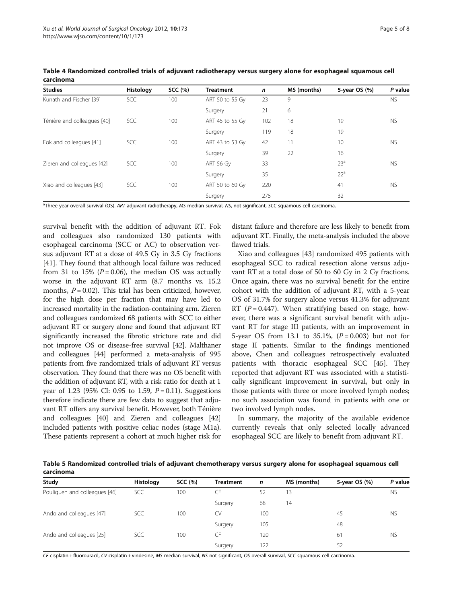| <b>Studies</b>              | Histology  | SCC(%) | <b>Treatment</b> | $\mathsf{n}$ | MS (months) | 5-year OS (%)   | P value   |
|-----------------------------|------------|--------|------------------|--------------|-------------|-----------------|-----------|
| Kunath and Fischer [39]     | <b>SCC</b> | 100    | ART 50 to 55 Gy  | 23           | 9           |                 | <b>NS</b> |
|                             |            |        | Surgery          | 21           | 6           |                 |           |
| Ténière and colleagues [40] | <b>SCC</b> | 100    | ART 45 to 55 Gy  | 102          | 18          | 19              | <b>NS</b> |
|                             |            |        | Surgery          | 119          | 18          | 19              |           |
| Fok and colleagues [41]     | SCC        | 100    | ART 43 to 53 Gy  | 42           | 11          | 10              | <b>NS</b> |
|                             |            |        | Surgery          | 39           | 22          | 16              |           |
| Zieren and colleagues [42]  | <b>SCC</b> | 100    | ART 56 Gy        | 33           |             | 23 <sup>a</sup> | <b>NS</b> |
|                             |            |        | Surgery          | 35           |             | 22 <sup>a</sup> |           |
| Xiao and colleagues [43]    | SCC        | 100    | ART 50 to 60 Gy  | 220          |             | 41              | <b>NS</b> |
|                             |            |        | Surgery          | 275          |             | 32              |           |

<span id="page-4-0"></span>Table 4 Randomized controlled trials of adjuvant radiotherapy versus surgery alone for esophageal squamous cell carcinoma

<sup>a</sup>Three-year overall survival (OS). ART adjuvant radiotherapy, MS median survival, NS, not significant, SCC squamous cell carcinoma.

survival benefit with the addition of adjuvant RT. Fok and colleagues also randomized 130 patients with esophageal carcinoma (SCC or AC) to observation versus adjuvant RT at a dose of 49.5 Gy in 3.5 Gy fractions [[41\]](#page-7-0). They found that although local failure was reduced from 31 to 15%  $(P = 0.06)$ , the median OS was actually worse in the adjuvant RT arm (8.7 months vs. 15.2 months,  $P = 0.02$ ). This trial has been criticized, however, for the high dose per fraction that may have led to increased mortality in the radiation-containing arm. Zieren and colleagues randomized 68 patients with SCC to either adjuvant RT or surgery alone and found that adjuvant RT significantly increased the fibrotic stricture rate and did not improve OS or disease-free survival [\[42\]](#page-7-0). Malthaner and colleagues [[44](#page-7-0)] performed a meta-analysis of 995 patients from five randomized trials of adjuvant RT versus observation. They found that there was no OS benefit with the addition of adjuvant RT, with a risk ratio for death at 1 year of 1.23 (95% CI: 0.95 to 1.59,  $P = 0.11$ ). Suggestions therefore indicate there are few data to suggest that adjuvant RT offers any survival benefit. However, both Ténière and colleagues [[40](#page-7-0)] and Zieren and colleagues [[42](#page-7-0)] included patients with positive celiac nodes (stage M1a). These patients represent a cohort at much higher risk for

distant failure and therefore are less likely to benefit from adjuvant RT. Finally, the meta-analysis included the above flawed trials.

Xiao and colleagues [\[43](#page-7-0)] randomized 495 patients with esophageal SCC to radical resection alone versus adjuvant RT at a total dose of 50 to 60 Gy in 2 Gy fractions. Once again, there was no survival benefit for the entire cohort with the addition of adjuvant RT, with a 5-year OS of 31.7% for surgery alone versus 41.3% for adjuvant RT ( $P = 0.447$ ). When stratifying based on stage, however, there was a significant survival benefit with adjuvant RT for stage III patients, with an improvement in 5-year OS from 13.1 to 35.1%,  $(P = 0.003)$  but not for stage II patients. Similar to the findings mentioned above, Chen and colleagues retrospectively evaluated patients with thoracic esophageal SCC [[45\]](#page-7-0). They reported that adjuvant RT was associated with a statistically significant improvement in survival, but only in those patients with three or more involved lymph nodes; no such association was found in patients with one or two involved lymph nodes.

In summary, the majority of the available evidence currently reveals that only selected locally advanced esophageal SCC are likely to benefit from adjuvant RT.

Table 5 Randomized controlled trials of adjuvant chemotherapy versus surgery alone for esophageal squamous cell carcinoma

| Study                         | Histology  | $SCC$ $(\%)$ | <b>Treatment</b> | $\mathsf{n}$ | MS (months) | 5-year OS (%) | P value   |
|-------------------------------|------------|--------------|------------------|--------------|-------------|---------------|-----------|
| Pouliquen and colleagues [46] | <b>SCC</b> | 100          | CF               | 52           | 13          |               | <b>NS</b> |
|                               |            |              | Surgery          | 68           | 14          |               |           |
| Ando and colleagues [47]      | <b>SCC</b> | 100          | CV               | 100          |             | 45            | <b>NS</b> |
|                               |            |              | Surgery          | 105          |             | 48            |           |
| Ando and colleagues [25]      | <b>SCC</b> | 100          | CF               | 120          |             | 61            | <b>NS</b> |
|                               |            |              | Surgery          | 122          |             | 52            |           |

CF cisplatin + fluorouracil, CV cisplatin + vindesine, MS median survival, NS not significant, OS overall survival, SCC squamous cell carcinoma.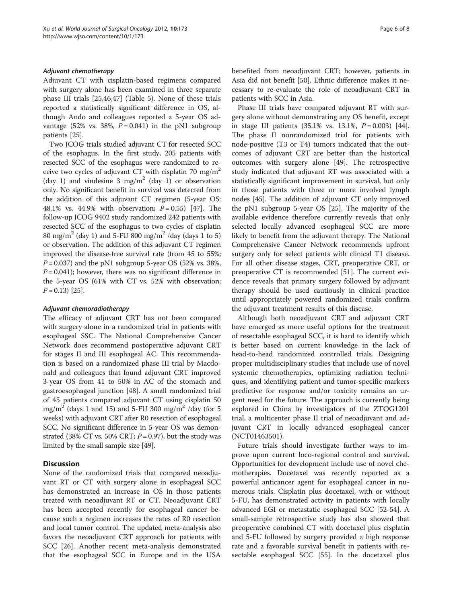# Adjuvant chemotherapy

Adjuvant CT with cisplatin-based regimens compared with surgery alone has been examined in three separate phase III trials [\[25,46,47\]](#page-7-0) (Table [5\)](#page-4-0). None of these trials reported a statistically significant difference in OS, although Ando and colleagues reported a 5-year OS advantage (52% vs. 38%,  $P = 0.041$ ) in the pN1 subgroup patients [\[25\]](#page-7-0).

Two JCOG trials studied adjuvant CT for resected SCC of the esophagus. In the first study, 205 patients with resected SCC of the esophagus were randomized to receive two cycles of adjuvant CT with cisplatin 70 mg/m<sup>2</sup> (day 1) and vindesine 3 mg/m<sup>2</sup> (day 1) or observation only. No significant benefit in survival was detected from the addition of this adjuvant CT regimen (5-year OS: 48.1% vs. 44.9% with observation;  $P = 0.55$  [[47](#page-7-0)]. The follow-up JCOG 9402 study randomized 242 patients with resected SCC of the esophagus to two cycles of cisplatin 80 mg/m<sup>2</sup> (day 1) and 5-FU 800 mg/m<sup>2</sup> /day (days 1 to 5) or observation. The addition of this adjuvant CT regimen improved the disease-free survival rate (from 45 to 55%;  $P = 0.037$ ) and the pN1 subgroup 5-year OS (52% vs. 38%,  $P = 0.041$ ; however, there was no significant difference in the 5-year OS (61% with CT vs. 52% with observation;  $P = 0.13$  [\[25](#page-7-0)].

# Adjuvant chemoradiotherapy

The efficacy of adjuvant CRT has not been compared with surgery alone in a randomized trial in patients with esophageal SSC. The National Comprehensive Cancer Network does recommend postoperative adjuvant CRT for stages II and III esophageal AC. This recommendation is based on a randomized phase III trial by Macdonald and colleagues that found adjuvant CRT improved 3-year OS from 41 to 50% in AC of the stomach and gastroesophageal junction [\[48](#page-7-0)]. A small randomized trial of 45 patients compared adjuvant CT using cisplatin 50 mg/m<sup>2</sup> (days 1 and 15) and 5-FU 300 mg/m<sup>2</sup> /day (for 5 weeks) with adjuvant CRT after R0 resection of esophageal SCC. No significant difference in 5-year OS was demonstrated (38% CT vs. 50% CRT;  $P = 0.97$ ), but the study was limited by the small sample size [\[49\]](#page-7-0).

# **Discussion**

None of the randomized trials that compared neoadjuvant RT or CT with surgery alone in esophageal SCC has demonstrated an increase in OS in those patients treated with neoadjuvant RT or CT. Neoadjuvant CRT has been accepted recently for esophageal cancer because such a regimen increases the rates of R0 resection and local tumor control. The updated meta-analysis also favors the neoadjuvant CRT approach for patients with SCC [\[26](#page-7-0)]. Another recent meta-analysis demonstrated that the esophageal SCC in Europe and in the USA

benefited from neoadjuvant CRT; however, patients in Asia did not benefit [\[50](#page-7-0)]. Ethnic difference makes it necessary to re-evaluate the role of neoadjuvant CRT in patients with SCC in Asia.

Phase III trials have compared adjuvant RT with surgery alone without demonstrating any OS benefit, except in stage III patients  $(35.1\% \text{ vs. } 13.1\%, P = 0.003)$  [\[44](#page-7-0)]. The phase II nonrandomized trial for patients with node-positive (T3 or T4) tumors indicated that the outcomes of adjuvant CRT are better than the historical outcomes with surgery alone [\[49](#page-7-0)]. The retrospective study indicated that adjuvant RT was associated with a statistically significant improvement in survival, but only in those patients with three or more involved lymph nodes [\[45](#page-7-0)]. The addition of adjuvant CT only improved the pN1 subgroup 5-year OS [[25](#page-7-0)]. The majority of the available evidence therefore currently reveals that only selected locally advanced esophageal SCC are more likely to benefit from the adjuvant therapy. The National Comprehensive Cancer Network recommends upfront surgery only for select patients with clinical T1 disease. For all other disease stages, CRT, preoperative CRT, or preoperative CT is recommended [\[51](#page-7-0)]. The current evidence reveals that primary surgery followed by adjuvant therapy should be used cautiously in clinical practice until appropriately powered randomized trials confirm the adjuvant treatment results of this disease.

Although both neoadjuvant CRT and adjuvant CRT have emerged as more useful options for the treatment of resectable esophageal SCC, it is hard to identify which is better based on current knowledge in the lack of head-to-head randomized controlled trials. Designing proper multidisciplinary studies that include use of novel systemic chemotherapies, optimizing radiation techniques, and identifying patient and tumor-specific markers predictive for response and/or toxicity remains an urgent need for the future. The approach is currently being explored in China by investigators of the ZTOG1201 trial, a multicenter phase II trial of neoadjuvant and adjuvant CRT in locally advanced esophageal cancer (NCT01463501).

Future trials should investigate further ways to improve upon current loco-regional control and survival. Opportunities for development include use of novel chemotherapies. Docetaxel was recently reported as a powerful anticancer agent for esophageal cancer in numerous trials. Cisplatin plus docetaxel, with or without 5-FU, has demonstrated activity in patients with locally advanced EGI or metastatic esophageal SCC [\[52-54](#page-7-0)]. A small-sample retrospective study has also showed that preoperative combined CT with docetaxel plus cisplatin and 5-FU followed by surgery provided a high response rate and a favorable survival benefit in patients with resectable esophageal SCC [[55](#page-7-0)]. In the docetaxel plus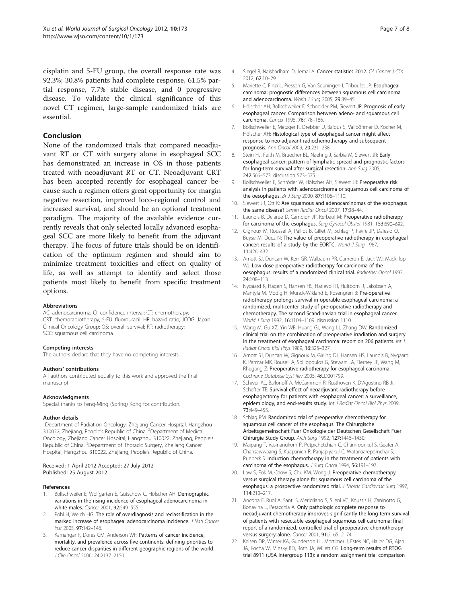<span id="page-6-0"></span>cisplatin and 5-FU group, the overall response rate was 92.3%; 30.8% patients had complete response, 61.5% partial response, 7.7% stable disease, and 0 progressive disease. To validate the clinical significance of this novel CT regimen, large-sample randomized trials are essential.

# Conclusion

None of the randomized trials that compared neoadjuvant RT or CT with surgery alone in esophageal SCC has demonstrated an increase in OS in those patients treated with neoadjuvant RT or CT. Neoadjuvant CRT has been accepted recently for esophageal cancer because such a regimen offers great opportunity for margin negative resection, improved loco-regional control and increased survival, and should be an optional treatment paradigm. The majority of the available evidence currently reveals that only selected locally advanced esophageal SCC are more likely to benefit from the adjuvant therapy. The focus of future trials should be on identification of the optimum regimen and should aim to minimize treatment toxicities and effect on quality of life, as well as attempt to identify and select those patients most likely to benefit from specific treatment options.

#### Abbreviations

AC: adenocarcinoma; CI: confidence interval; CT: chemotherapy; CRT: chemoradiotherapy; 5-FU: fluorouracil; HR: hazard ratio; JCOG: Japan Clinical Oncology Group; OS: overall survival; RT: radiotherapy; SCC: squamous cell carcinoma.

#### Competing interests

The authors declare that they have no competing interests.

#### Authors' contributions

All authors contributed equally to this work and approved the final manuscript.

#### Acknowledgments

Special thanks to Feng-Ming (Spring) Kong for contribution.

#### Author details

<sup>1</sup>Department of Radiation Oncology, Zhejiang Cancer Hospital, Hangzhou 310022, Zhejiang, People's Republic of China. <sup>2</sup>Department of Medical Oncology, Zhejiang Cancer Hospital, Hangzhou 310022, Zhejiang, People's Republic of China. <sup>3</sup>Department of Thoracic Surgery, Zhejiang Cancer Hospital, Hangzhou 310022, Zhejiang, People's Republic of China.

#### Received: 1 April 2012 Accepted: 27 July 2012 Published: 25 August 2012

#### References

- Bollschweiler E, Wolfgarten E, Gutschow C, Hölscher AH: Demographic variations in the rising incidence of esophageal adenocarcinoma in white males. Cancer 2001, 92:549-555.
- 2. Pohl H, Welch HG: The role of overdiagnosis and reclassification in the marked increase of esophageal adenocarcinoma incidence. J Natl Cancer Inst 2005, 97:142–146.
- Kamangar F, Dores GM, Anderson WF: Patterns of cancer incidence, mortality, and prevalence across five continents: defining priorities to reduce cancer disparities in different geographic regions of the world. J Clin Oncol 2006, 24:2137–2150.
- 4. Siegel R, Naishadham D, Jemal A: Cancer statistics 2012. CA Cancer J Clin 2012, 62:10–29.
- 5. Mariette C, Finzi L, Piessen G, Van Seuningen I, Triboulet JP: Esophageal carcinoma: prognostic differences between squamous cell carcinoma and adenocarcinoma. World J Surg 2005, 29:39-45.
- 6. Hölscher AH, Bollschweiler E, Schneider PM, Siewert JR: Prognosis of early esophageal cancer. Comparison between adeno- and squamous cell carcinoma. Cancer 1995, 76:178–186.
- 7. Bollschweiler E, Metzger R, Drebber U, Baldus S, Vallböhmer D, Kocher M, Hölscher AH: Histological type of esophageal cancer might affect response to neo-adjuvant radiochemotherapy and subsequent prognosis. Ann Oncol 2009, 20:231–238.
- 8. Stein HJ, Feith M, Bruecher BL, Naehrig J, Sarbia M, Siewert JR: Early esophageal cancer: pattern of lymphatic spread and prognostic factors for long-term survival after surgical resection. Ann Surg 2005, 242:566–573. discussion 573–575.
- 9. Bollschweiler E, Schröder W, Hölscher AH, Siewert JR: Preoperative risk analysis in patients with adenocarcinoma or squamous cell carcinoma of the oesophagus. Br J Surg 2000, 87:1106-1110.
- 10. Siewert JR, Ott K: Are squamous and adenocarcinomas of the esophagus the same disease? Semin Radiat Oncol 2007, 17:38–44.
- 11. Launois B, Delarue D, Campion JP, Kerbaol M: Preoperative radiotherapy for carcinoma of the esophagus. Surg Gynecol Obstet 1981, 153:690–692.
- 12. Gignoux M, Roussel A, Paillot B, Gillet M, Schlag P, Favre JP, Dalesio O, Buyse M, Duez N: The value of preoperative radiotherapy in esophageal cancer: results of a study by the EORTC. World J Surg 1987, 11:426–432.
- 13. Arnott SJ, Duncan W, Kerr GR, Walbaum PR, Cameron E, Jack WJ, Mackillop WJ: Low dose preoperative radiotherapy for carcinoma of the oesophagus: results of a randomized clinical trial. Radiother Oncol 1992, 24:108–113.
- 14. Nygaard K, Hagen S, Hansen HS, Hatlevoll R, Hultborn R, Jakobsen A, Mäntyla M, Modig H, Munck-Wikland E, Rosengren B: Pre-operative radiotherapy prolongs survival in operable esophageal carcinoma: a randomized, multicenter study of pre-operative radiotherapy and chemotherapy. The second Scandinavian trial in esophageal cancer. World J Surg 1992, 16:1104–1109. discussion 1110.
- 15. Wang M, Gu XZ, Yin WB, Huang GJ, Wang LJ, Zhang DW: Randomized clinical trial on the combination of preoperative irradiation and surgery in the treatment of esophageal carcinoma: report on 206 patients. Int J Radiat Oncol Biol Phys 1989, 16:325–327.
- 16. Arnott SJ, Duncan W, Gignoux M, Girling DJ, Hansen HS, Launois B, Nygaard K, Parmar MK, Rousell A, Spiliopoulos G, Stewart LA, Tierney JF, Wang M, Rhugang Z: Preoperative radiotherapy for esophageal carcinoma. Cochrane Database Syst Rev 2005, 4:CD001799.
- 17. Schwer AL, Ballonoff A, McCammon R, Rusthoven K, D'Agostino RB Jr, Schefter TE: Survival effect of neoadjuvant radiotherapy before esophagectomy for patients with esophageal cancer: a surveillance, epidemiology, and end-results study. Int J Radiat Oncol Biol Phys 2009, 73:449–455.
- 18. Schlag PM: Randomized trial of preoperative chemotherapy for squamous cell cancer of the esophagus. The Chirurgische Arbeitsgemeinschaft Fuer Onkologie der Deutschen Gesellschaft Fuer Chirurgie Study Group. Arch Surg 1992, 127:1446–1450.
- 19. Maipang T, Vasinanukorn P, Petpichetchian C, Chamroonkul S, Geater A, Chansawwaang S, Kuapanich R, Panjapiyakul C, Watanaarepornchai S, Punperk S: Induction chemotherapy in the treatment of patients with carcinoma of the esophagus. J Surg Oncol 1994, 56:191–197.
- 20. Law S, Fok M, Chow S, Chu KM, Wong J: Preoperative chemotherapy versus surgical therapy alone for squamous cell carcinoma of the esophagus: a prospective randomized trial. J Thorac Cardiovasc Surg 1997, 114:210–217.
- 21. Ancona E, Ruol A, Santi S, Merigliano S, Sileni VC, Koussis H, Zaninotto G, Bonavina L, Peracchia A: Only pathologic complete response to neoadjuvant chemotherapy improves significantly the long term survival of patients with resectable esophageal squamous cell carcinoma: final report of a randomized, controlled trial of preoperative chemotherapy versus surgery alone. Cancer 2001, 91:2165–2174.
- 22. Kelsen DP, Winter KA, Gunderson LL, Mortimer J, Estes NC, Haller DG, Ajani JA, Kocha W, Minsky BD, Roth JA, Willett CG: Long-term results of RTOG trial 8911 (USA Intergroup 113): a random assignment trial comparison